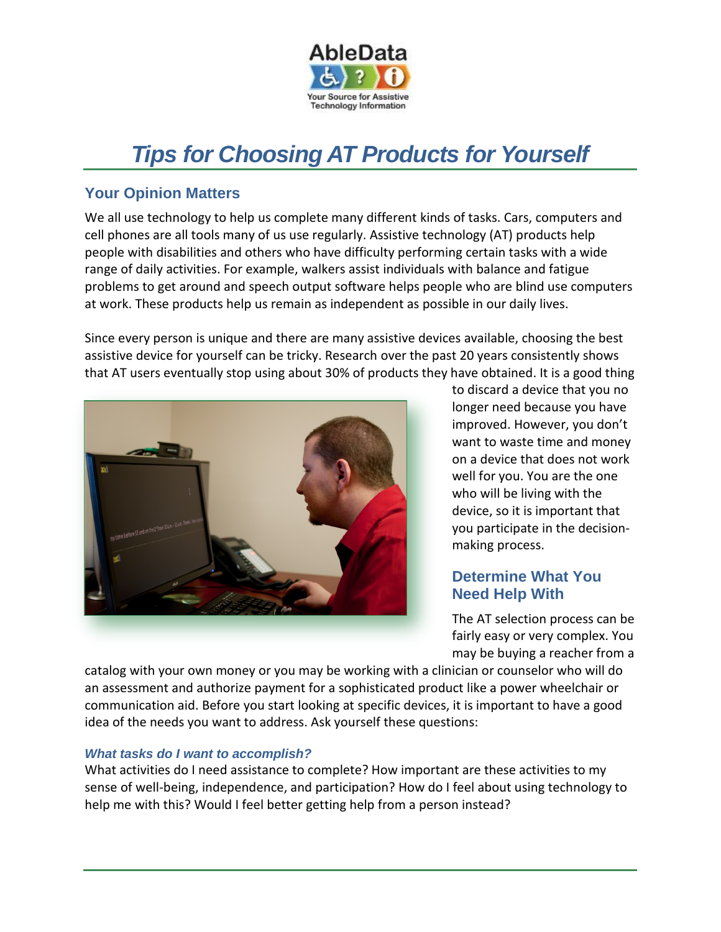

# *Tips for Choosing AT Products for Yourself*

# **Your Opinion Matters**

We all use technology to help us complete many different kinds of tasks. Cars, computers and cell phones are all tools many of us use regularly. Assistive technology (AT) products help people with disabilities and others who have difficulty performing certain tasks with a wide range of daily activities. For example, walkers assist individuals with balance and fatigue problems to get around and speech output software helps people who are blind use computers at work. These products help us remain as independent as possible in our daily lives.

Since every person is unique and there are many assistive devices available, choosing the best assistive device for yourself can be tricky. Research over the past 20 years consistently shows that AT users eventually stop using about 30% of products they have obtained. It is a good thing



to discard a device that you no longer need because you have improved. However, you don't want to waste time and money on a device that does not work well for you. You are the one who will be living with the device, so it is important that you participate in the decisionmaking process.

# **Determine What You Need Help With**

The AT selection process can be fairly easy or very complex. You may be buying a reacher from a

catalog with your own money or you may be working with a clinician or counselor who will do an assessment and authorize payment for a sophisticated product like a power wheelchair or communication aid. Before you start looking at specific devices, it is important to have a good idea of the needs you want to address. Ask yourself these questions:

### *What tasks do I want to accomplish?*

What activities do I need assistance to complete? How important are these activities to my sense of well-being, independence, and participation? How do I feel about using technology to help me with this? Would I feel better getting help from a person instead?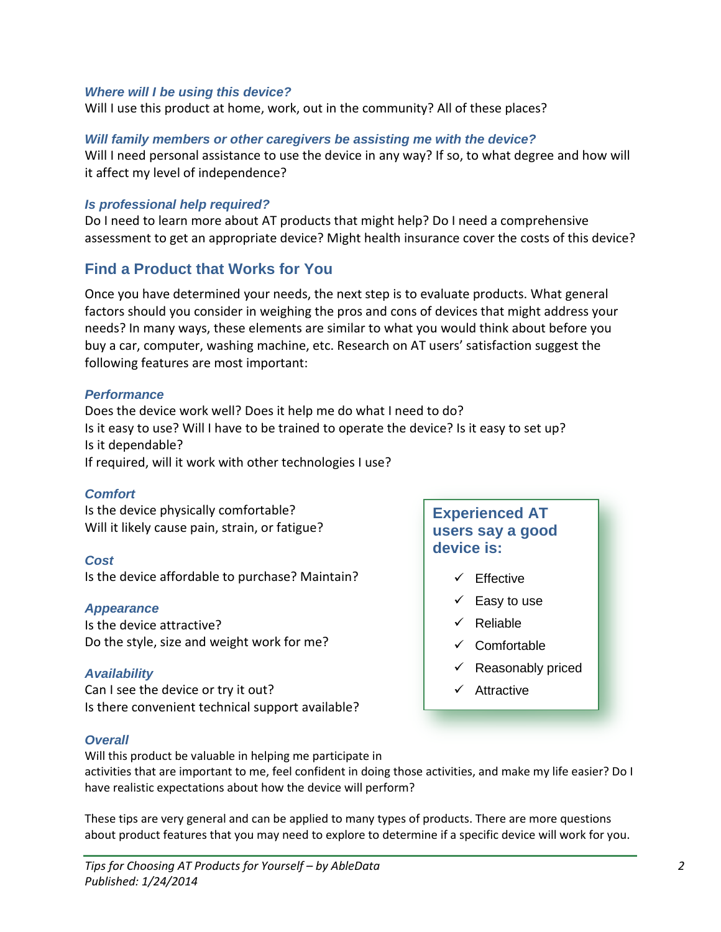#### *Where will I be using this device?*

Will I use this product at home, work, out in the community? All of these places?

#### *Will family members or other caregivers be assisting me with the device?*

Will I need personal assistance to use the device in any way? If so, to what degree and how will it affect my level of independence?

#### *Is professional help required?*

Do I need to learn more about AT products that might help? Do I need a comprehensive assessment to get an appropriate device? Might health insurance cover the costs of this device?

## **Find a Product that Works for You**

Once you have determined your needs, the next step is to evaluate products. What general factors should you consider in weighing the pros and cons of devices that might address your needs? In many ways, these elements are similar to what you would think about before you buy a car, computer, washing machine, etc. Research on AT users' satisfaction suggest the following features are most important:

#### *Performance*

Does the device work well? Does it help me do what I need to do? Is it easy to use? Will I have to be trained to operate the device? Is it easy to set up? Is it dependable?

If required, will it work with other technologies I use?

#### *Comfort*

Is the device physically comfortable? Will it likely cause pain, strain, or fatigue?

#### *Cost*

Is the device affordable to purchase? Maintain?

#### *Appearance*

Is the device attractive? Do the style, size and weight work for me?

#### *Availability*

Can I see the device or try it out? Is there convenient technical support available?

#### *Overall*

**Experienced AT users say a good device is:**

- $\checkmark$  Effective
- $\checkmark$  Easy to use
- $\checkmark$  Reliable
- $\checkmark$  Comfortable
- $\checkmark$  Reasonably priced
- $\checkmark$  Attractive
- Will this product be valuable in helping me participate in activities that are important to me, feel confident in doing those activities, and make my life easier? Do I have realistic expectations about how the device will perform?

These tips are very general and can be applied to many types of products. There are more questions about product features that you may need to explore to determine if a specific device will work for you.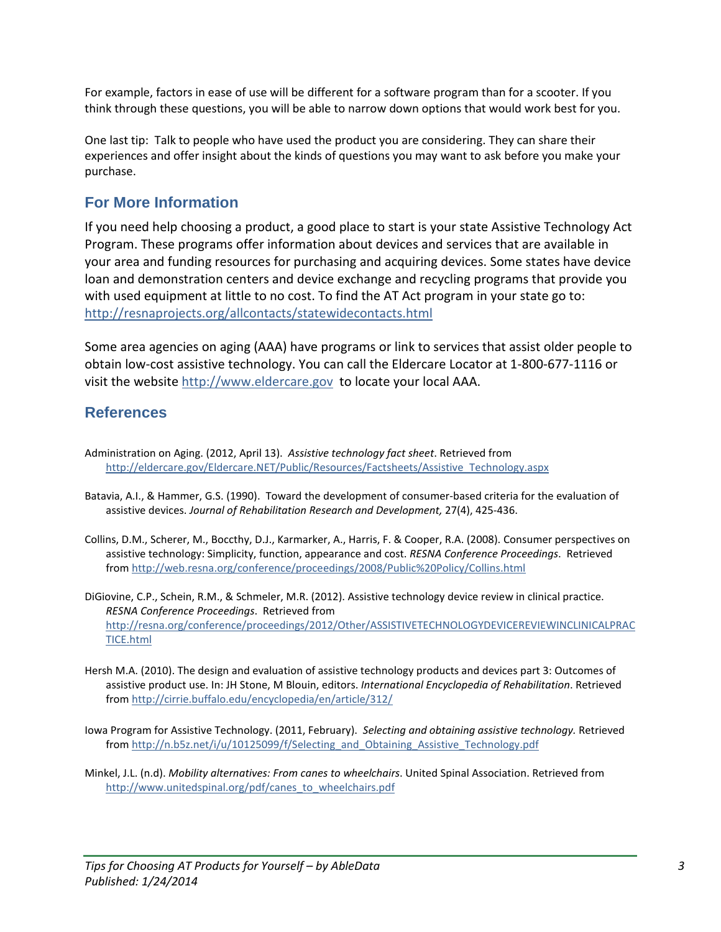For example, factors in ease of use will be different for a software program than for a scooter. If you think through these questions, you will be able to narrow down options that would work best for you.

One last tip: Talk to people who have used the product you are considering. They can share their experiences and offer insight about the kinds of questions you may want to ask before you make your purchase.

## **For More Information**

If you need help choosing a product, a good place to start is your state Assistive Technology Act Program. These programs offer information about devices and services that are available in your area and funding resources for purchasing and acquiring devices. Some states have device loan and demonstration centers and device exchange and recycling programs that provide you with used equipment at little to no cost. To find the AT Act program in your state go to: <http://resnaprojects.org/allcontacts/statewidecontacts.html>

Some area agencies on aging (AAA) have programs or link to services that assist older people to obtain low-cost assistive technology. You can call the Eldercare Locator at 1-800-677-1116 or visit the website [http://www.eldercare.gov](http://www.eldercare.gov/) to locate your local AAA.

# **References**

- Administration on Aging. (2012, April 13). *Assistive technology fact sheet*. Retrieved from [http://eldercare.gov/Eldercare.NET/Public/Resources/Factsheets/Assistive\\_Technology.aspx](http://eldercare.gov/Eldercare.NET/Public/Resources/Factsheets/Assistive_Technology.aspx)
- Batavia, A.I., & Hammer, G.S. (1990). Toward the development of consumer-based criteria for the evaluation of assistive devices. *Journal of Rehabilitation Research and Development,* 27(4), 425-436.
- Collins, D.M., Scherer, M., Boccthy, D.J., Karmarker, A., Harris, F. & Cooper, R.A. (2008). Consumer perspectives on assistive technology: Simplicity, function, appearance and cost. *RESNA Conference Proceedings*. Retrieved from <http://web.resna.org/conference/proceedings/2008/Public%20Policy/Collins.html>
- DiGiovine, C.P., Schein, R.M., & Schmeler, M.R. (2012). Assistive technology device review in clinical practice. *RESNA Conference Proceedings*. Retrieved from [http://resna.org/conference/proceedings/2012/Other/ASSISTIVETECHNOLOGYDEVICEREVIEWINCLINICALPRAC](http://resna.org/conference/proceedings/2012/Other/ASSISTIVETECHNOLOGYDEVICEREVIEWINCLINICALPRACTICE.html) [TICE.html](http://resna.org/conference/proceedings/2012/Other/ASSISTIVETECHNOLOGYDEVICEREVIEWINCLINICALPRACTICE.html)
- Hersh M.A. (2010). The design and evaluation of assistive technology products and devices part 3: Outcomes of assistive product use. In: JH Stone, M Blouin, editors. *International Encyclopedia of Rehabilitation*. Retrieved from <http://cirrie.buffalo.edu/encyclopedia/en/article/312/>
- Iowa Program for Assistive Technology. (2011, February). *Selecting and obtaining assistive technology.* Retrieved from [http://n.b5z.net/i/u/10125099/f/Selecting\\_and\\_Obtaining\\_Assistive\\_Technology.pdf](http://n.b5z.net/i/u/10125099/f/Selecting_and_Obtaining_Assistive_Technology.pdf)
- Minkel, J.L. (n.d). *Mobility alternatives: From canes to wheelchairs*. United Spinal Association. Retrieved from [http://www.unitedspinal.org/pdf/canes\\_to\\_wheelchairs.pdf](http://www.unitedspinal.org/pdf/canes_to_wheelchairs.pdf)